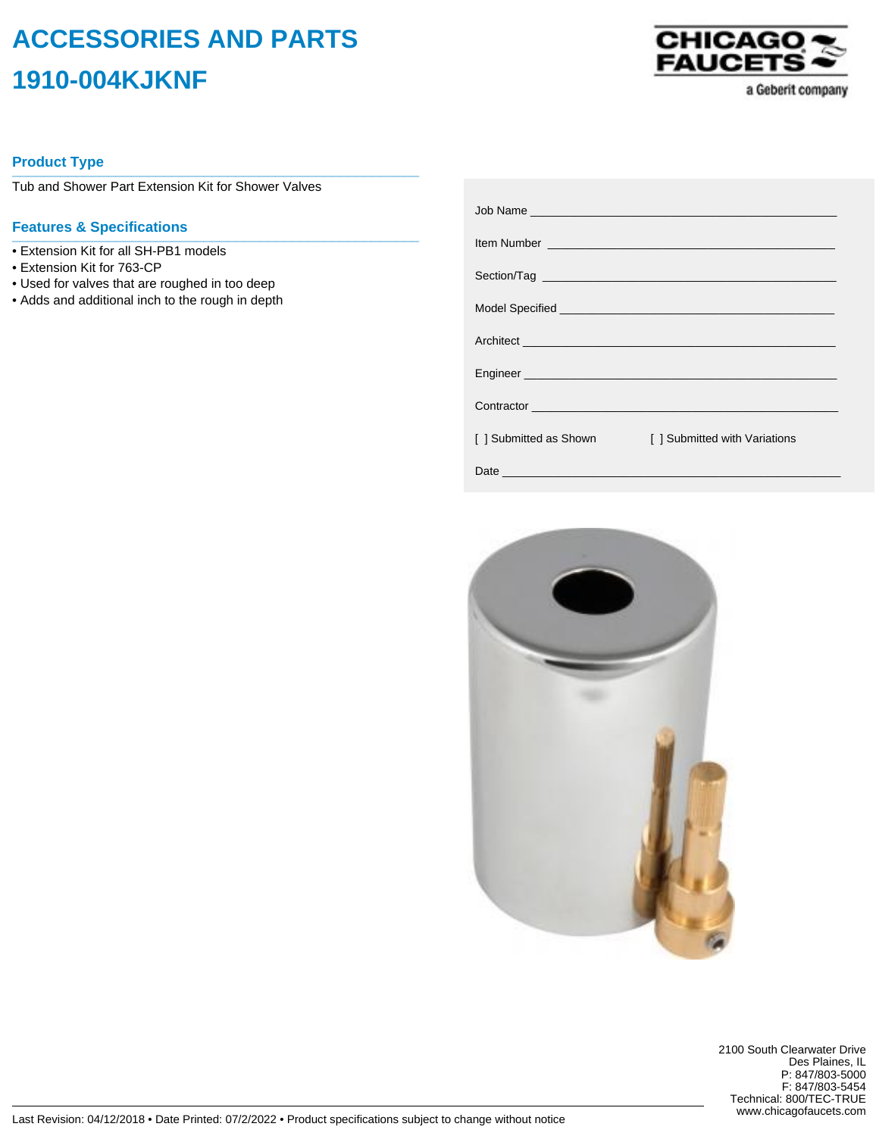## **ACCESSORIES AND PARTS 1910-004KJKNF**



a Geberit company

## **Product Type \_\_\_\_\_\_\_\_\_\_\_\_\_\_\_\_\_\_\_\_\_\_\_\_\_\_\_\_\_\_\_\_\_\_\_\_\_\_\_\_\_\_\_\_\_\_\_\_\_\_\_**

Tub and Shower Part Extension Kit for Shower Valves

## **Features & Specifications \_\_\_\_\_\_\_\_\_\_\_\_\_\_\_\_\_\_\_\_\_\_\_\_\_\_\_\_\_\_\_\_\_\_\_\_\_\_\_\_\_\_\_\_\_\_\_\_\_\_\_**

- Extension Kit for all SH-PB1 models
- Extension Kit for 763-CP
- Used for valves that are roughed in too deep
- Adds and additional inch to the rough in depth

|                        | Item Number <u>experience and the series of the series of the series of the series of the series of the series of the series of the series of the series of the series of the series of the series of the series of the series o</u> |
|------------------------|--------------------------------------------------------------------------------------------------------------------------------------------------------------------------------------------------------------------------------------|
|                        |                                                                                                                                                                                                                                      |
|                        |                                                                                                                                                                                                                                      |
|                        |                                                                                                                                                                                                                                      |
|                        |                                                                                                                                                                                                                                      |
|                        | Contractor experience and the contractor of the contractor of the contractor of the contractor of the contractor                                                                                                                     |
| [ ] Submitted as Shown | [] Submitted with Variations                                                                                                                                                                                                         |
|                        |                                                                                                                                                                                                                                      |



2100 South Clearwater Drive Des Plaines, IL P: 847/803-5000 F: 847/803-5454 Technical: 800/TEC-TRUE www.chicagofaucets.com